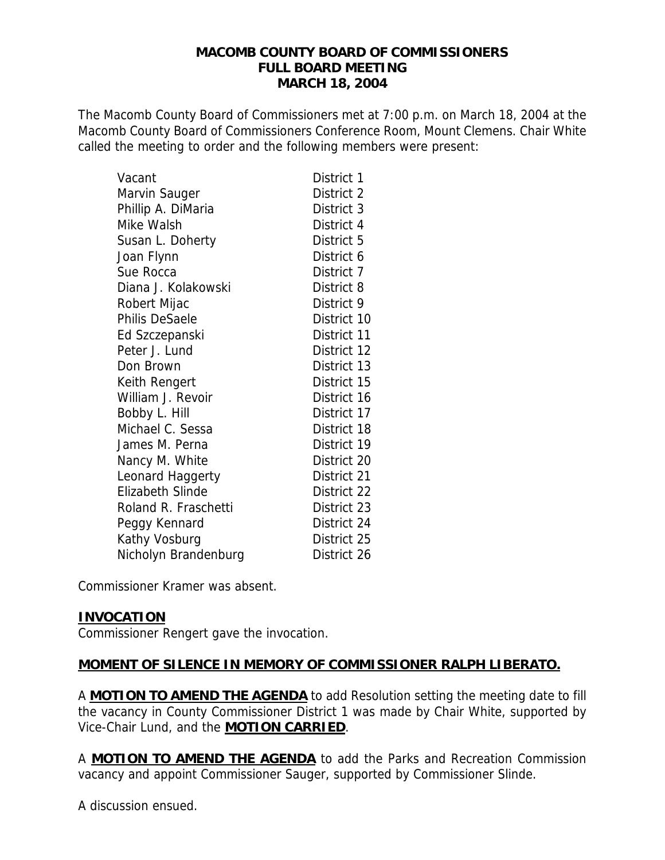#### **MACOMB COUNTY BOARD OF COMMISSIONERS FULL BOARD MEETING MARCH 18, 2004**

The Macomb County Board of Commissioners met at 7:00 p.m. on March 18, 2004 at the Macomb County Board of Commissioners Conference Room, Mount Clemens. Chair White called the meeting to order and the following members were present:

| Vacant                  | District 1  |
|-------------------------|-------------|
| Marvin Sauger           | District 2  |
| Phillip A. DiMaria      | District 3  |
| Mike Walsh              | District 4  |
| Susan L. Doherty        | District 5  |
| Joan Flynn              | District 6  |
| Sue Rocca               | District 7  |
| Diana J. Kolakowski     | District 8  |
| Robert Mijac            | District 9  |
| Philis DeSaele          | District 10 |
| Ed Szczepanski          | District 11 |
| Peter J. Lund           | District 12 |
| Don Brown               | District 13 |
| Keith Rengert           | District 15 |
| William J. Revoir       | District 16 |
| Bobby L. Hill           | District 17 |
| Michael C. Sessa        | District 18 |
| James M. Perna          | District 19 |
| Nancy M. White          | District 20 |
| Leonard Haggerty        | District 21 |
| <b>Elizabeth Slinde</b> | District 22 |
| Roland R. Fraschetti    | District 23 |
| Peggy Kennard           | District 24 |
| Kathy Vosburg           | District 25 |
| Nicholyn Brandenburg    | District 26 |

Commissioner Kramer was absent.

# **INVOCATION**

Commissioner Rengert gave the invocation.

# **MOMENT OF SILENCE IN MEMORY OF COMMISSIONER RALPH LIBERATO.**

A **MOTION TO AMEND THE AGENDA** to add Resolution setting the meeting date to fill the vacancy in County Commissioner District 1 was made by Chair White, supported by Vice-Chair Lund, and the **MOTION CARRIED**.

A **MOTION TO AMEND THE AGENDA** to add the Parks and Recreation Commission vacancy and appoint Commissioner Sauger, supported by Commissioner Slinde.

A discussion ensued.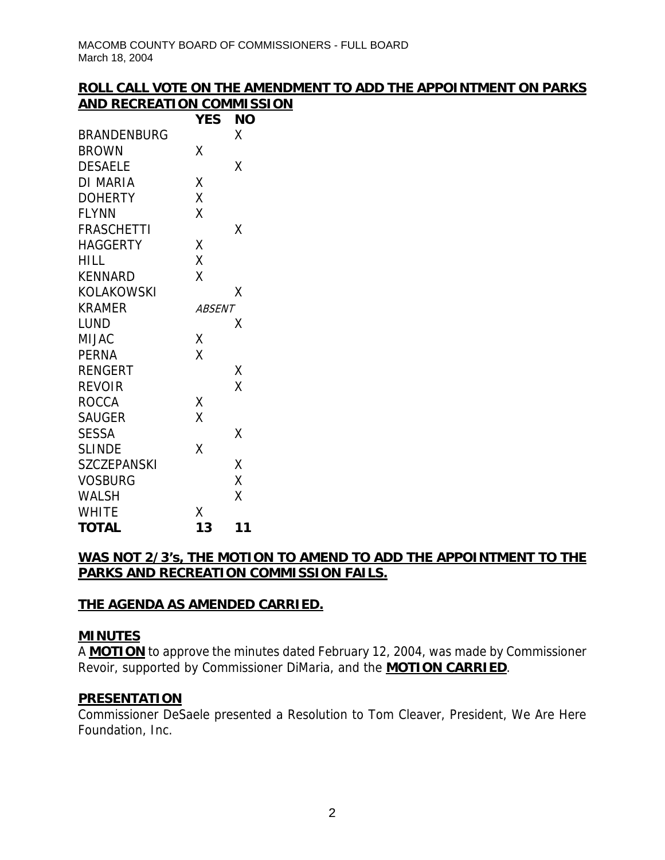# **ROLL CALL VOTE ON THE AMENDMENT TO ADD THE APPOINTMENT ON PARKS AND RECREATION COMMISSION**

|                    | YES           | ΝO |
|--------------------|---------------|----|
| <b>BRANDENBURG</b> |               | X  |
| <b>BROWN</b>       | Χ             |    |
| <b>DESAELE</b>     |               | χ  |
| DI MARIA           | Χ             |    |
| <b>DOHERTY</b>     | Χ             |    |
| <b>FLYNN</b>       | X             |    |
| <b>FRASCHETTI</b>  |               | Χ  |
| HAGGERTY           | Χ             |    |
| HILL               | Χ             |    |
| <b>KENNARD</b>     | X             |    |
| <b>KOLAKOWSKI</b>  |               | х  |
| <b>KRAMER</b>      | <i>ABSENT</i> |    |
| LUND               |               | х  |
| MIJAC              | Χ             |    |
| PERNA              | X             |    |
| <b>RENGERT</b>     |               | Χ  |
| <b>REVOIR</b>      |               | X  |
| <b>ROCCA</b>       | Χ             |    |
| <b>SAUGER</b>      | X             |    |
| <b>SESSA</b>       |               | Χ  |
| <b>SLINDE</b>      | X             |    |
| <b>SZCZEPANSKI</b> |               | X  |
| <b>VOSBURG</b>     |               | Χ  |
| <b>WALSH</b>       |               | Χ  |
| <b>WHITE</b>       | Χ             |    |
| <b>TOTAL</b>       | 13            | 11 |

# **WAS NOT 2/3's, THE MOTION TO AMEND TO ADD THE APPOINTMENT TO THE PARKS AND RECREATION COMMISSION FAILS.**

# **THE AGENDA AS AMENDED CARRIED.**

#### **MINUTES**

A **MOTION** to approve the minutes dated February 12, 2004, was made by Commissioner Revoir, supported by Commissioner DiMaria, and the **MOTION CARRIED**.

#### **PRESENTATION**

Commissioner DeSaele presented a Resolution to Tom Cleaver, President, We Are Here Foundation, Inc.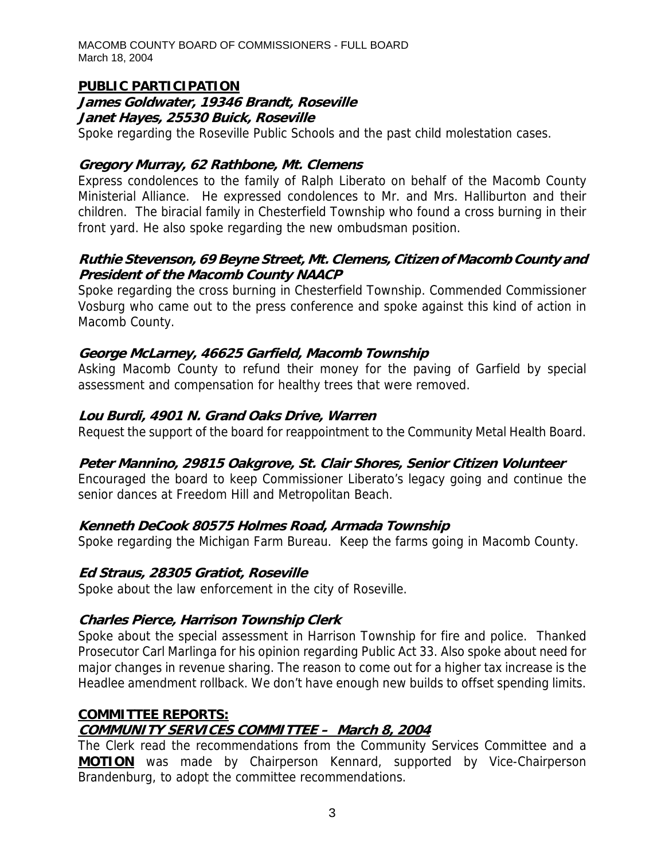MACOMB COUNTY BOARD OF COMMISSIONERS - FULL BOARD March 18, 2004

#### **PUBLIC PARTICIPATION**

#### **James Goldwater, 19346 Brandt, Roseville Janet Hayes, 25530 Buick, Roseville**

Spoke regarding the Roseville Public Schools and the past child molestation cases.

#### **Gregory Murray, 62 Rathbone, Mt. Clemens**

Express condolences to the family of Ralph Liberato on behalf of the Macomb County Ministerial Alliance. He expressed condolences to Mr. and Mrs. Halliburton and their children. The biracial family in Chesterfield Township who found a cross burning in their front yard. He also spoke regarding the new ombudsman position.

## **Ruthie Stevenson, 69 Beyne Street, Mt. Clemens, Citizen of Macomb County and President of the Macomb County NAACP**

Spoke regarding the cross burning in Chesterfield Township. Commended Commissioner Vosburg who came out to the press conference and spoke against this kind of action in Macomb County.

# **George McLarney, 46625 Garfield, Macomb Township**

Asking Macomb County to refund their money for the paving of Garfield by special assessment and compensation for healthy trees that were removed.

## **Lou Burdi, 4901 N. Grand Oaks Drive, Warren**

Request the support of the board for reappointment to the Community Metal Health Board.

#### **Peter Mannino, 29815 Oakgrove, St. Clair Shores, Senior Citizen Volunteer**

Encouraged the board to keep Commissioner Liberato's legacy going and continue the senior dances at Freedom Hill and Metropolitan Beach.

# **Kenneth DeCook 80575 Holmes Road, Armada Township**

Spoke regarding the Michigan Farm Bureau. Keep the farms going in Macomb County.

#### **Ed Straus, 28305 Gratiot, Roseville**

Spoke about the law enforcement in the city of Roseville.

# **Charles Pierce, Harrison Township Clerk**

Spoke about the special assessment in Harrison Township for fire and police. Thanked Prosecutor Carl Marlinga for his opinion regarding Public Act 33. Also spoke about need for major changes in revenue sharing. The reason to come out for a higher tax increase is the Headlee amendment rollback. We don't have enough new builds to offset spending limits.

#### **COMMITTEE REPORTS:**

# **COMMUNITY SERVICES COMMITTEE – March 8, 2004**

The Clerk read the recommendations from the Community Services Committee and a **MOTION** was made by Chairperson Kennard, supported by Vice-Chairperson Brandenburg, to adopt the committee recommendations.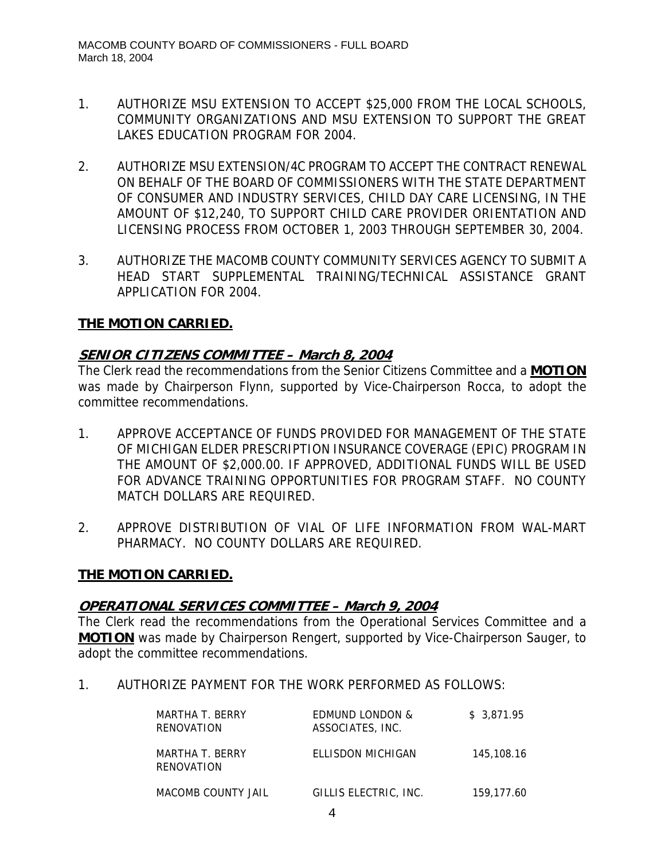- 1. AUTHORIZE MSU EXTENSION TO ACCEPT \$25,000 FROM THE LOCAL SCHOOLS, COMMUNITY ORGANIZATIONS AND MSU EXTENSION TO SUPPORT THE GREAT LAKES EDUCATION PROGRAM FOR 2004.
- 2. AUTHORIZE MSU EXTENSION/4C PROGRAM TO ACCEPT THE CONTRACT RENEWAL ON BEHALF OF THE BOARD OF COMMISSIONERS WITH THE STATE DEPARTMENT OF CONSUMER AND INDUSTRY SERVICES, CHILD DAY CARE LICENSING, IN THE AMOUNT OF \$12,240, TO SUPPORT CHILD CARE PROVIDER ORIENTATION AND LICENSING PROCESS FROM OCTOBER 1, 2003 THROUGH SEPTEMBER 30, 2004.
- 3. AUTHORIZE THE MACOMB COUNTY COMMUNITY SERVICES AGENCY TO SUBMIT A HEAD START SUPPLEMENTAL TRAINING/TECHNICAL ASSISTANCE GRANT APPLICATION FOR 2004.

# **THE MOTION CARRIED.**

## **SENIOR CITIZENS COMMITTEE – March 8, 2004**

The Clerk read the recommendations from the Senior Citizens Committee and a **MOTION** was made by Chairperson Flynn, supported by Vice-Chairperson Rocca, to adopt the committee recommendations.

- 1. APPROVE ACCEPTANCE OF FUNDS PROVIDED FOR MANAGEMENT OF THE STATE OF MICHIGAN ELDER PRESCRIPTION INSURANCE COVERAGE (EPIC) PROGRAM IN THE AMOUNT OF \$2,000.00. IF APPROVED, ADDITIONAL FUNDS WILL BE USED FOR ADVANCE TRAINING OPPORTUNITIES FOR PROGRAM STAFF. NO COUNTY MATCH DOLLARS ARE REQUIRED.
- 2. APPROVE DISTRIBUTION OF VIAL OF LIFE INFORMATION FROM WAL-MART PHARMACY. NO COUNTY DOLLARS ARE REQUIRED.

#### **THE MOTION CARRIED.**

#### **OPERATIONAL SERVICES COMMITTEE – March 9, 2004**

The Clerk read the recommendations from the Operational Services Committee and a **MOTION** was made by Chairperson Rengert, supported by Vice-Chairperson Sauger, to adopt the committee recommendations.

1. AUTHORIZE PAYMENT FOR THE WORK PERFORMED AS FOLLOWS:

| MARTHA T. BERRY<br>RENOVATION | <b>EDMUND LONDON &amp;</b><br>ASSOCIATES, INC. | \$3.871.95 |
|-------------------------------|------------------------------------------------|------------|
| MARTHA T. BERRY<br>RENOVATION | ELLISDON MICHIGAN                              | 145,108.16 |
| MACOMB COUNTY JAIL            | GILLIS ELECTRIC, INC.                          | 159,177.60 |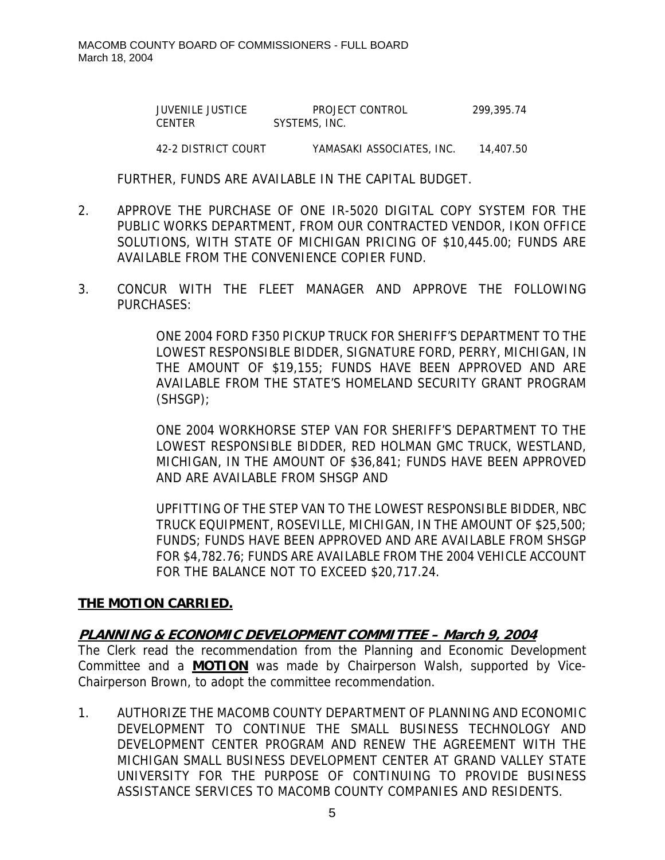JUVENILE JUSTICE PROJECT CONTROL 299,395.74 CENTER SYSTEMS, INC.

42-2 DISTRICT COURT YAMASAKI ASSOCIATES, INC. 14,407.50

FURTHER, FUNDS ARE AVAILABLE IN THE CAPITAL BUDGET.

- 2. APPROVE THE PURCHASE OF ONE IR-5020 DIGITAL COPY SYSTEM FOR THE PUBLIC WORKS DEPARTMENT, FROM OUR CONTRACTED VENDOR, IKON OFFICE SOLUTIONS, WITH STATE OF MICHIGAN PRICING OF \$10,445.00; FUNDS ARE AVAILABLE FROM THE CONVENIENCE COPIER FUND.
- 3. CONCUR WITH THE FLEET MANAGER AND APPROVE THE FOLLOWING PURCHASES:

ONE 2004 FORD F350 PICKUP TRUCK FOR SHERIFF'S DEPARTMENT TO THE LOWEST RESPONSIBLE BIDDER, SIGNATURE FORD, PERRY, MICHIGAN, IN THE AMOUNT OF \$19,155; FUNDS HAVE BEEN APPROVED AND ARE AVAILABLE FROM THE STATE'S HOMELAND SECURITY GRANT PROGRAM (SHSGP);

ONE 2004 WORKHORSE STEP VAN FOR SHERIFF'S DEPARTMENT TO THE LOWEST RESPONSIBLE BIDDER, RED HOLMAN GMC TRUCK, WESTLAND, MICHIGAN, IN THE AMOUNT OF \$36,841; FUNDS HAVE BEEN APPROVED AND ARE AVAILABLE FROM SHSGP AND

UPFITTING OF THE STEP VAN TO THE LOWEST RESPONSIBLE BIDDER, NBC TRUCK EQUIPMENT, ROSEVILLE, MICHIGAN, IN THE AMOUNT OF \$25,500; FUNDS; FUNDS HAVE BEEN APPROVED AND ARE AVAILABLE FROM SHSGP FOR \$4,782.76; FUNDS ARE AVAILABLE FROM THE 2004 VEHICLE ACCOUNT FOR THE BALANCE NOT TO EXCEED \$20,717.24.

#### **THE MOTION CARRIED.**

#### **PLANNING & ECONOMIC DEVELOPMENT COMMITTEE – March 9, 2004**

The Clerk read the recommendation from the Planning and Economic Development Committee and a **MOTION** was made by Chairperson Walsh, supported by Vice-Chairperson Brown, to adopt the committee recommendation.

1. AUTHORIZE THE MACOMB COUNTY DEPARTMENT OF PLANNING AND ECONOMIC DEVELOPMENT TO CONTINUE THE SMALL BUSINESS TECHNOLOGY AND DEVELOPMENT CENTER PROGRAM AND RENEW THE AGREEMENT WITH THE MICHIGAN SMALL BUSINESS DEVELOPMENT CENTER AT GRAND VALLEY STATE UNIVERSITY FOR THE PURPOSE OF CONTINUING TO PROVIDE BUSINESS ASSISTANCE SERVICES TO MACOMB COUNTY COMPANIES AND RESIDENTS.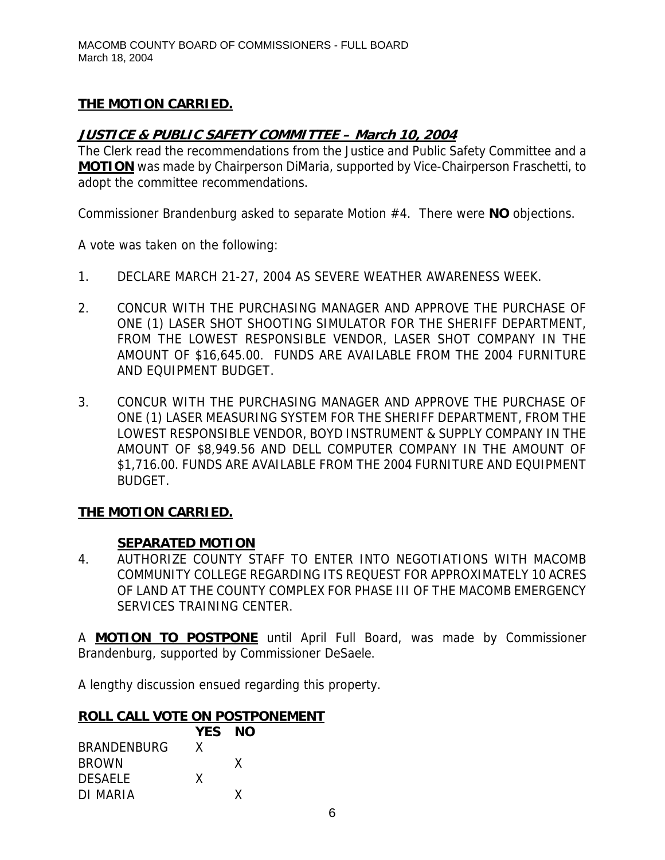# **THE MOTION CARRIED.**

## **JUSTICE & PUBLIC SAFETY COMMITTEE – March 10, 2004**

The Clerk read the recommendations from the Justice and Public Safety Committee and a **MOTION** was made by Chairperson DiMaria, supported by Vice-Chairperson Fraschetti, to adopt the committee recommendations.

Commissioner Brandenburg asked to separate Motion #4. There were **NO** objections.

A vote was taken on the following:

- 1. DECLARE MARCH 21-27, 2004 AS SEVERE WEATHER AWARENESS WEEK.
- 2. CONCUR WITH THE PURCHASING MANAGER AND APPROVE THE PURCHASE OF ONE (1) LASER SHOT SHOOTING SIMULATOR FOR THE SHERIFF DEPARTMENT, FROM THE LOWEST RESPONSIBLE VENDOR, LASER SHOT COMPANY IN THE AMOUNT OF \$16,645.00. FUNDS ARE AVAILABLE FROM THE 2004 FURNITURE AND EQUIPMENT BUDGET.
- 3. CONCUR WITH THE PURCHASING MANAGER AND APPROVE THE PURCHASE OF ONE (1) LASER MEASURING SYSTEM FOR THE SHERIFF DEPARTMENT, FROM THE LOWEST RESPONSIBLE VENDOR, BOYD INSTRUMENT & SUPPLY COMPANY IN THE AMOUNT OF \$8,949.56 AND DELL COMPUTER COMPANY IN THE AMOUNT OF \$1,716.00. FUNDS ARE AVAILABLE FROM THE 2004 FURNITURE AND EQUIPMENT BUDGET.

#### **THE MOTION CARRIED.**

#### **SEPARATED MOTION**

4. AUTHORIZE COUNTY STAFF TO ENTER INTO NEGOTIATIONS WITH MACOMB COMMUNITY COLLEGE REGARDING ITS REQUEST FOR APPROXIMATELY 10 ACRES OF LAND AT THE COUNTY COMPLEX FOR PHASE III OF THE MACOMB EMERGENCY SERVICES TRAINING CENTER.

A **MOTION TO POSTPONE** until April Full Board, was made by Commissioner Brandenburg, supported by Commissioner DeSaele.

A lengthy discussion ensued regarding this property.

#### **ROLL CALL VOTE ON POSTPONEMENT**

|                    | YES NO |   |
|--------------------|--------|---|
| <b>BRANDENBURG</b> | X      |   |
| <b>BROWN</b>       |        | X |
| <b>DESAELE</b>     | X      |   |
| DI MARIA           |        | x |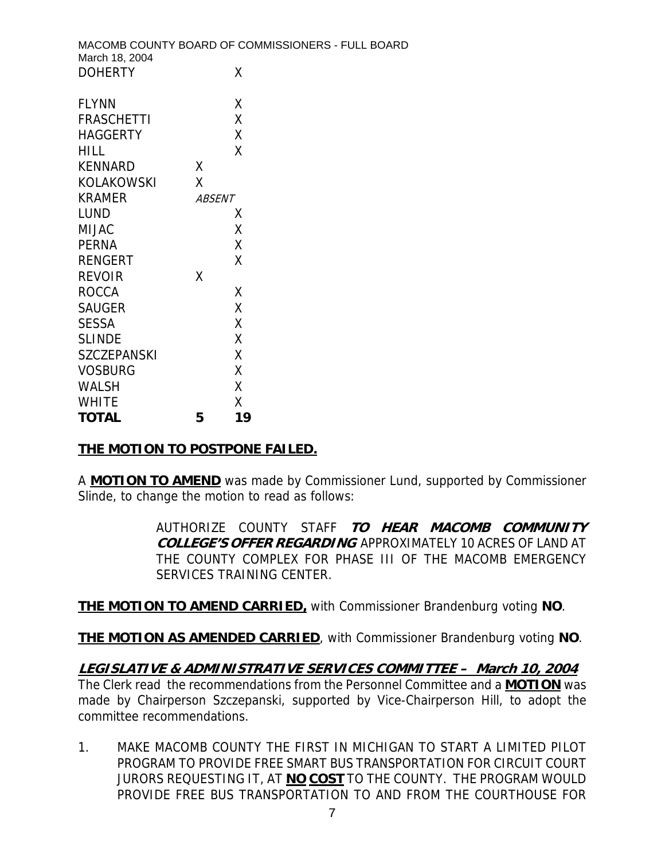|                    |               | MACOMB COUNTY BOARD OF COMMISSIONERS - FULL BOARD |  |
|--------------------|---------------|---------------------------------------------------|--|
| March 18, 2004     |               |                                                   |  |
| <b>DOHERTY</b>     | χ             |                                                   |  |
|                    |               |                                                   |  |
| <b>FLYNN</b>       | χ             |                                                   |  |
| <b>FRASCHETTI</b>  | χ             |                                                   |  |
| <b>HAGGERTY</b>    | X             |                                                   |  |
| <b>HILL</b>        | X             |                                                   |  |
| <b>KENNARD</b>     | X             |                                                   |  |
| KOLAKOWSKI         | X             |                                                   |  |
| <b>KRAMER</b>      | <b>ABSENT</b> |                                                   |  |
| <b>LUND</b>        | X             |                                                   |  |
| <b>MIJAC</b>       | χ             |                                                   |  |
| <b>PERNA</b>       | X             |                                                   |  |
| <b>RENGERT</b>     | X             |                                                   |  |
| <b>REVOIR</b>      | X             |                                                   |  |
| <b>ROCCA</b>       | X             |                                                   |  |
| <b>SAUGER</b>      | X             |                                                   |  |
| <b>SESSA</b>       | X             |                                                   |  |
| <b>SLINDE</b>      | χ             |                                                   |  |
| <b>SZCZEPANSKI</b> | X             |                                                   |  |
| <b>VOSBURG</b>     | X             |                                                   |  |
| <b>WALSH</b>       | Χ             |                                                   |  |

#### **THE MOTION TO POSTPONE FAILED.**

WHITE X **TOTAL 5 19** 

A **MOTION TO AMEND** was made by Commissioner Lund, supported by Commissioner Slinde, to change the motion to read as follows:

> AUTHORIZE COUNTY STAFF **TO HEAR MACOMB COMMUNITY COLLEGE'S OFFER REGARDING** APPROXIMATELY 10 ACRES OF LAND AT THE COUNTY COMPLEX FOR PHASE III OF THE MACOMB EMERGENCY SERVICES TRAINING CENTER.

**THE MOTION TO AMEND CARRIED,** with Commissioner Brandenburg voting **NO**.

**THE MOTION AS AMENDED CARRIED**, with Commissioner Brandenburg voting **NO**.

**LEGISLATIVE & ADMINISTRATIVE SERVICES COMMITTEE – March 10, 2004** The Clerk read the recommendations from the Personnel Committee and a **MOTION** was made by Chairperson Szczepanski, supported by Vice-Chairperson Hill, to adopt the committee recommendations.

1. MAKE MACOMB COUNTY THE FIRST IN MICHIGAN TO START A LIMITED PILOT PROGRAM TO PROVIDE FREE SMART BUS TRANSPORTATION FOR CIRCUIT COURT JURORS REQUESTING IT, AT **NO COST** TO THE COUNTY. THE PROGRAM WOULD PROVIDE FREE BUS TRANSPORTATION TO AND FROM THE COURTHOUSE FOR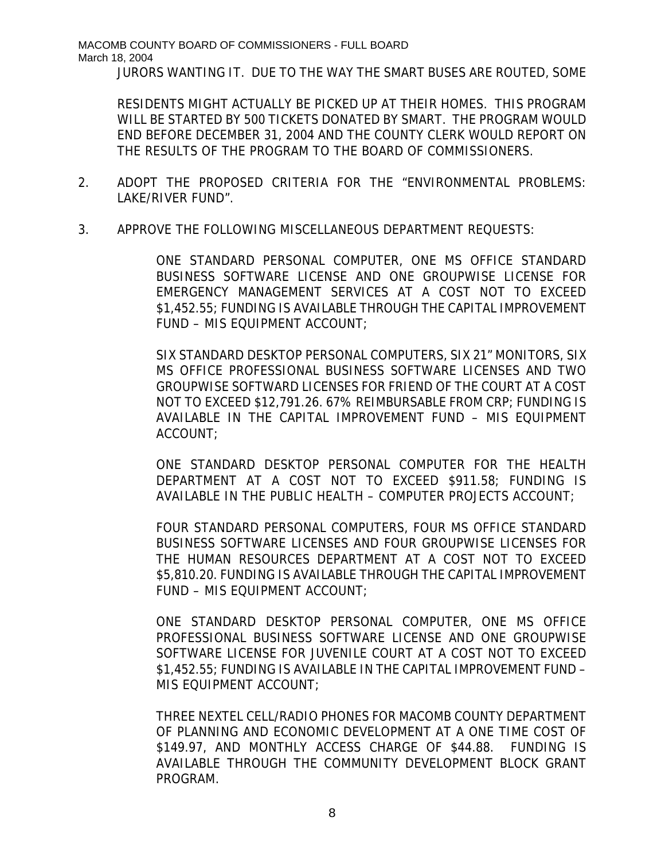MACOMB COUNTY BOARD OF COMMISSIONERS - FULL BOARD March 18, 2004

JURORS WANTING IT. DUE TO THE WAY THE SMART BUSES ARE ROUTED, SOME

RESIDENTS MIGHT ACTUALLY BE PICKED UP AT THEIR HOMES. THIS PROGRAM WILL BE STARTED BY 500 TICKETS DONATED BY SMART. THE PROGRAM WOULD END BEFORE DECEMBER 31, 2004 AND THE COUNTY CLERK WOULD REPORT ON THE RESULTS OF THE PROGRAM TO THE BOARD OF COMMISSIONERS.

- 2. ADOPT THE PROPOSED CRITERIA FOR THE "ENVIRONMENTAL PROBLEMS: LAKE/RIVER FUND".
- 3. APPROVE THE FOLLOWING MISCELLANEOUS DEPARTMENT REQUESTS:

ONE STANDARD PERSONAL COMPUTER, ONE MS OFFICE STANDARD BUSINESS SOFTWARE LICENSE AND ONE GROUPWISE LICENSE FOR EMERGENCY MANAGEMENT SERVICES AT A COST NOT TO EXCEED \$1,452.55; FUNDING IS AVAILABLE THROUGH THE CAPITAL IMPROVEMENT FUND – MIS EQUIPMENT ACCOUNT;

SIX STANDARD DESKTOP PERSONAL COMPUTERS, SIX 21" MONITORS, SIX MS OFFICE PROFESSIONAL BUSINESS SOFTWARE LICENSES AND TWO GROUPWISE SOFTWARD LICENSES FOR FRIEND OF THE COURT AT A COST NOT TO EXCEED \$12,791.26. 67% REIMBURSABLE FROM CRP; FUNDING IS AVAILABLE IN THE CAPITAL IMPROVEMENT FUND – MIS EQUIPMENT ACCOUNT;

ONE STANDARD DESKTOP PERSONAL COMPUTER FOR THE HEALTH DEPARTMENT AT A COST NOT TO EXCEED \$911.58; FUNDING IS AVAILABLE IN THE PUBLIC HEALTH – COMPUTER PROJECTS ACCOUNT;

FOUR STANDARD PERSONAL COMPUTERS, FOUR MS OFFICE STANDARD BUSINESS SOFTWARE LICENSES AND FOUR GROUPWISE LICENSES FOR THE HUMAN RESOURCES DEPARTMENT AT A COST NOT TO EXCEED \$5,810.20. FUNDING IS AVAILABLE THROUGH THE CAPITAL IMPROVEMENT FUND – MIS EQUIPMENT ACCOUNT;

ONE STANDARD DESKTOP PERSONAL COMPUTER, ONE MS OFFICE PROFESSIONAL BUSINESS SOFTWARE LICENSE AND ONE GROUPWISE SOFTWARE LICENSE FOR JUVENILE COURT AT A COST NOT TO EXCEED \$1,452.55; FUNDING IS AVAILABLE IN THE CAPITAL IMPROVEMENT FUND – MIS EQUIPMENT ACCOUNT;

THREE NEXTEL CELL/RADIO PHONES FOR MACOMB COUNTY DEPARTMENT OF PLANNING AND ECONOMIC DEVELOPMENT AT A ONE TIME COST OF \$149.97, AND MONTHLY ACCESS CHARGE OF \$44.88. FUNDING IS AVAILABLE THROUGH THE COMMUNITY DEVELOPMENT BLOCK GRANT PROGRAM.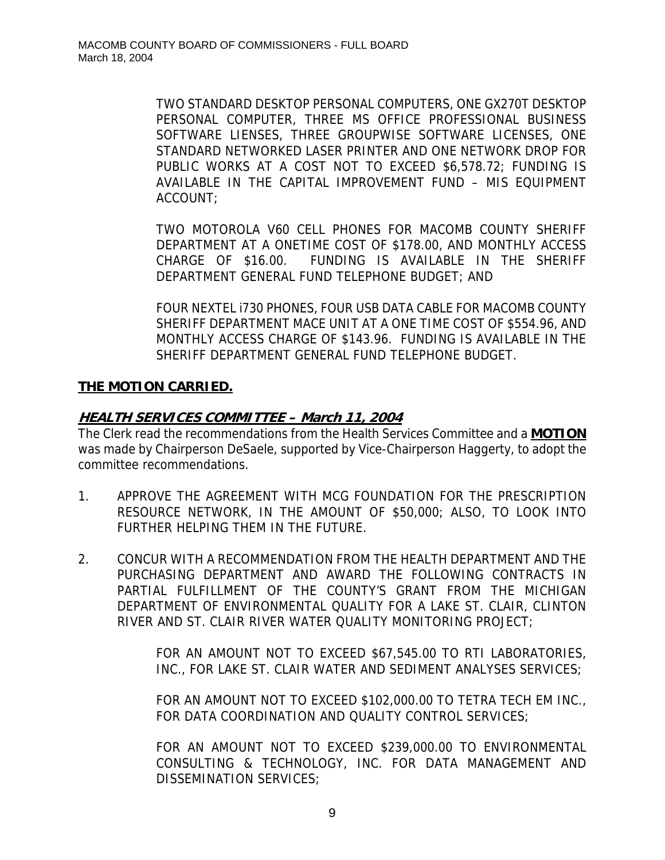TWO STANDARD DESKTOP PERSONAL COMPUTERS, ONE GX270T DESKTOP PERSONAL COMPUTER, THREE MS OFFICE PROFESSIONAL BUSINESS SOFTWARE LIENSES, THREE GROUPWISE SOFTWARE LICENSES, ONE STANDARD NETWORKED LASER PRINTER AND ONE NETWORK DROP FOR PUBLIC WORKS AT A COST NOT TO EXCEED \$6,578.72; FUNDING IS AVAILABLE IN THE CAPITAL IMPROVEMENT FUND – MIS EQUIPMENT ACCOUNT;

TWO MOTOROLA V60 CELL PHONES FOR MACOMB COUNTY SHERIFF DEPARTMENT AT A ONETIME COST OF \$178.00, AND MONTHLY ACCESS CHARGE OF \$16.00. FUNDING IS AVAILABLE IN THE SHERIFF DEPARTMENT GENERAL FUND TELEPHONE BUDGET; AND

FOUR NEXTEL i730 PHONES, FOUR USB DATA CABLE FOR MACOMB COUNTY SHERIFF DEPARTMENT MACE UNIT AT A ONE TIME COST OF \$554.96, AND MONTHLY ACCESS CHARGE OF \$143.96. FUNDING IS AVAILABLE IN THE SHERIFF DEPARTMENT GENERAL FUND TELEPHONE BUDGET.

## **THE MOTION CARRIED.**

## **HEALTH SERVICES COMMITTEE – March 11, 2004**

The Clerk read the recommendations from the Health Services Committee and a **MOTION** was made by Chairperson DeSaele, supported by Vice-Chairperson Haggerty, to adopt the committee recommendations.

- 1. APPROVE THE AGREEMENT WITH MCG FOUNDATION FOR THE PRESCRIPTION RESOURCE NETWORK, IN THE AMOUNT OF \$50,000; ALSO, TO LOOK INTO FURTHER HELPING THEM IN THE FUTURE.
- 2. CONCUR WITH A RECOMMENDATION FROM THE HEALTH DEPARTMENT AND THE PURCHASING DEPARTMENT AND AWARD THE FOLLOWING CONTRACTS IN PARTIAL FULFILLMENT OF THE COUNTY'S GRANT FROM THE MICHIGAN DEPARTMENT OF ENVIRONMENTAL QUALITY FOR A LAKE ST. CLAIR, CLINTON RIVER AND ST. CLAIR RIVER WATER QUALITY MONITORING PROJECT;

FOR AN AMOUNT NOT TO EXCEED \$67,545.00 TO RTI LABORATORIES, INC., FOR LAKE ST. CLAIR WATER AND SEDIMENT ANALYSES SERVICES;

FOR AN AMOUNT NOT TO EXCEED \$102,000.00 TO TETRA TECH EM INC., FOR DATA COORDINATION AND QUALITY CONTROL SERVICES;

FOR AN AMOUNT NOT TO EXCEED \$239,000.00 TO ENVIRONMENTAL CONSULTING & TECHNOLOGY, INC. FOR DATA MANAGEMENT AND DISSEMINATION SERVICES;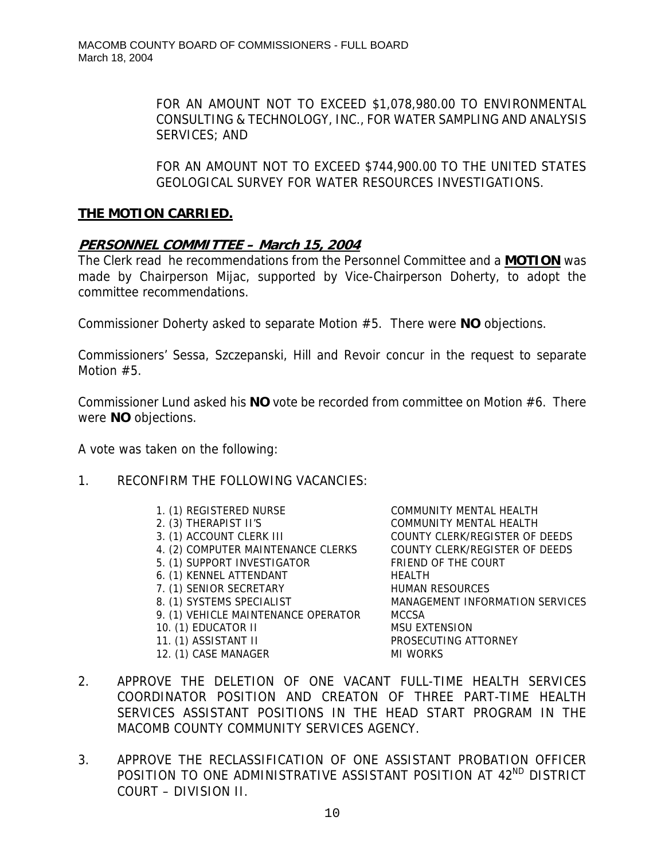FOR AN AMOUNT NOT TO EXCEED \$1,078,980.00 TO ENVIRONMENTAL CONSULTING & TECHNOLOGY, INC., FOR WATER SAMPLING AND ANALYSIS SERVICES; AND

FOR AN AMOUNT NOT TO EXCEED \$744,900.00 TO THE UNITED STATES GEOLOGICAL SURVEY FOR WATER RESOURCES INVESTIGATIONS.

## **THE MOTION CARRIED.**

## **PERSONNEL COMMITTEE – March 15, 2004**

The Clerk read he recommendations from the Personnel Committee and a **MOTION** was made by Chairperson Mijac, supported by Vice-Chairperson Doherty, to adopt the committee recommendations.

Commissioner Doherty asked to separate Motion #5. There were **NO** objections.

Commissioners' Sessa, Szczepanski, Hill and Revoir concur in the request to separate Motion #5.

Commissioner Lund asked his **NO** vote be recorded from committee on Motion #6. There were **NO** objections.

A vote was taken on the following:

- 1. RECONFIRM THE FOLLOWING VACANCIES:
	-
	-
	-
	- 4. (2) COMPUTER MAINTENANCE CLERKS COUNTY CLERK/REGISTER OF DEEDS
	- 5. (1) SUPPORT INVESTIGATOR FRIEND OF THE COURT
	- 6. (1) KENNEL ATTENDANT HEALTH
	- 7. (1) SENIOR SECRETARY HUMAN RESOURCES
	-
	- 9. (1) VEHICLE MAINTENANCE OPERATOR MCCSA
	- 10. (1) EDUCATOR II MSU EXTENSION
	-
	- 12. (1) CASE MANAGER MI WORKS

1. (1) REGISTERED NURSE COMMUNITY MENTAL HEALTH 2. (3) THERAPIST II'S COMMUNITY MENTAL HEALTH 3. (1) ACCOUNT CLERK III COUNTY CLERK/REGISTER OF DEEDS 8. (1) SYSTEMS SPECIALIST MANAGEMENT INFORMATION SERVICES 11. (1) ASSISTANT II PROSECUTING ATTORNEY

- 2. APPROVE THE DELETION OF ONE VACANT FULL-TIME HEALTH SERVICES COORDINATOR POSITION AND CREATON OF THREE PART-TIME HEALTH SERVICES ASSISTANT POSITIONS IN THE HEAD START PROGRAM IN THE MACOMB COUNTY COMMUNITY SERVICES AGENCY.
- 3. APPROVE THE RECLASSIFICATION OF ONE ASSISTANT PROBATION OFFICER POSITION TO ONE ADMINISTRATIVE ASSISTANT POSITION AT 42<sup>ND</sup> DISTRICT COURT – DIVISION II.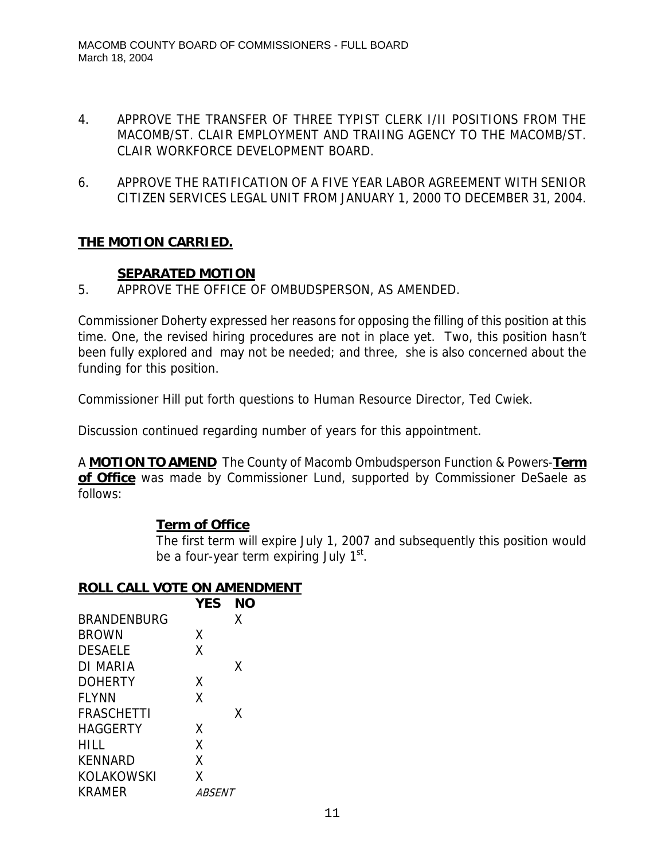- 4. APPROVE THE TRANSFER OF THREE TYPIST CLERK I/II POSITIONS FROM THE MACOMB/ST. CLAIR EMPLOYMENT AND TRAIING AGENCY TO THE MACOMB/ST. CLAIR WORKFORCE DEVELOPMENT BOARD.
- 6. APPROVE THE RATIFICATION OF A FIVE YEAR LABOR AGREEMENT WITH SENIOR CITIZEN SERVICES LEGAL UNIT FROM JANUARY 1, 2000 TO DECEMBER 31, 2004.

# **THE MOTION CARRIED.**

## **SEPARATED MOTION**

5. APPROVE THE OFFICE OF OMBUDSPERSON, AS AMENDED.

Commissioner Doherty expressed her reasons for opposing the filling of this position at this time. One, the revised hiring procedures are not in place yet. Two, this position hasn't been fully explored and may not be needed; and three, she is also concerned about the funding for this position.

Commissioner Hill put forth questions to Human Resource Director, Ted Cwiek.

Discussion continued regarding number of years for this appointment.

A **MOTION TO AMEND** The County of Macomb Ombudsperson Function & Powers-**Term**  of Office was made by Commissioner Lund, supported by Commissioner DeSaele as follows:

# **Term of Office**

The first term will expire July 1, 2007 and subsequently this position would be a four-year term expiring July  $1<sup>st</sup>$ .

# **ROLL CALL VOTE ON AMENDMENT**

|                    | <b>YES</b>    | <b>NO</b> |
|--------------------|---------------|-----------|
| <b>BRANDENBURG</b> |               | Χ         |
| <b>BROWN</b>       | Χ             |           |
| <b>DESAELE</b>     | X             |           |
| DI MARIA           |               | Χ         |
| <b>DOHERTY</b>     | X             |           |
| <b>FLYNN</b>       | X             |           |
| <b>FRASCHETTI</b>  |               | χ         |
| HAGGERTY           | X             |           |
| HILL               | χ             |           |
| <b>KENNARD</b>     | χ             |           |
| <b>KOLAKOWSKI</b>  | x             |           |
| <b>KRAMER</b>      | <i>ABSENT</i> |           |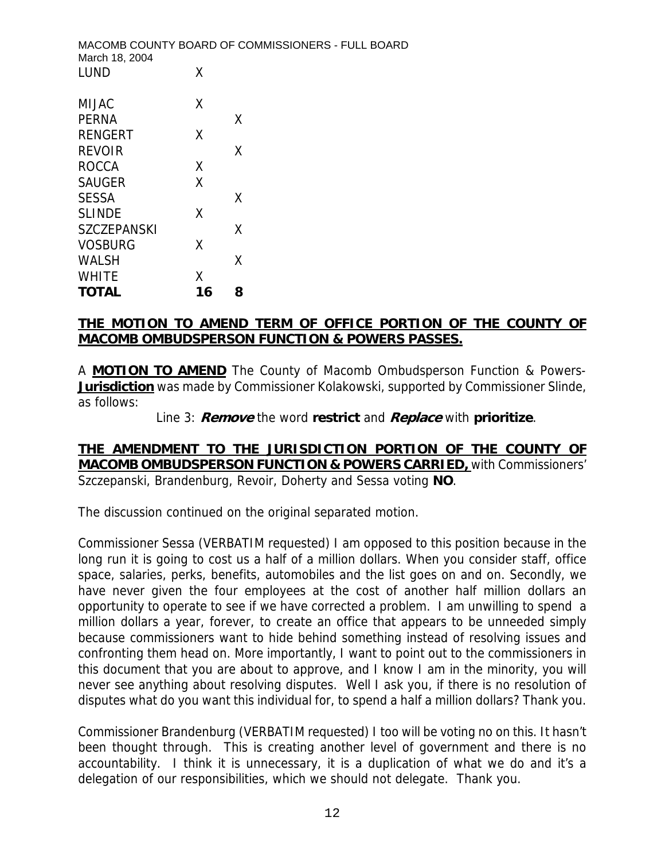|    | MACOMB COUNTY BOARD OF COMMISSIONERS - FULL BOARD |
|----|---------------------------------------------------|
| Χ  |                                                   |
| χ  |                                                   |
|    | X                                                 |
| χ  |                                                   |
|    | Χ                                                 |
| X  |                                                   |
| Χ  |                                                   |
|    | X                                                 |
| χ  |                                                   |
|    | χ                                                 |
| X  |                                                   |
|    | χ                                                 |
| χ  |                                                   |
| 16 | 8                                                 |
|    |                                                   |

#### **THE MOTION TO AMEND TERM OF OFFICE PORTION OF THE COUNTY OF MACOMB OMBUDSPERSON FUNCTION & POWERS PASSES.**

A **MOTION TO AMEND** The County of Macomb Ombudsperson Function & Powers-**Jurisdiction** was made by Commissioner Kolakowski, supported by Commissioner Slinde, as follows:

Line 3: **Remove** the word **restrict** and **Replace** with **prioritize**.

## **THE AMENDMENT TO THE JURISDICTION PORTION OF THE COUNTY OF MACOMB OMBUDSPERSON FUNCTION & POWERS CARRIED,** with Commissioners' Szczepanski, Brandenburg, Revoir, Doherty and Sessa voting **NO**.

The discussion continued on the original separated motion.

Commissioner Sessa (VERBATIM requested) I am opposed to this position because in the long run it is going to cost us a half of a million dollars. When you consider staff, office space, salaries, perks, benefits, automobiles and the list goes on and on. Secondly, we have never given the four employees at the cost of another half million dollars an opportunity to operate to see if we have corrected a problem. I am unwilling to spend a million dollars a year, forever, to create an office that appears to be unneeded simply because commissioners want to hide behind something instead of resolving issues and confronting them head on. More importantly, I want to point out to the commissioners in this document that you are about to approve, and I know I am in the minority, you will never see anything about resolving disputes. Well I ask you, if there is no resolution of disputes what do you want this individual for, to spend a half a million dollars? Thank you.

Commissioner Brandenburg (VERBATIM requested) I too will be voting no on this. It hasn't been thought through. This is creating another level of government and there is no accountability. I think it is unnecessary, it is a duplication of what we do and it's a delegation of our responsibilities, which we should not delegate. Thank you.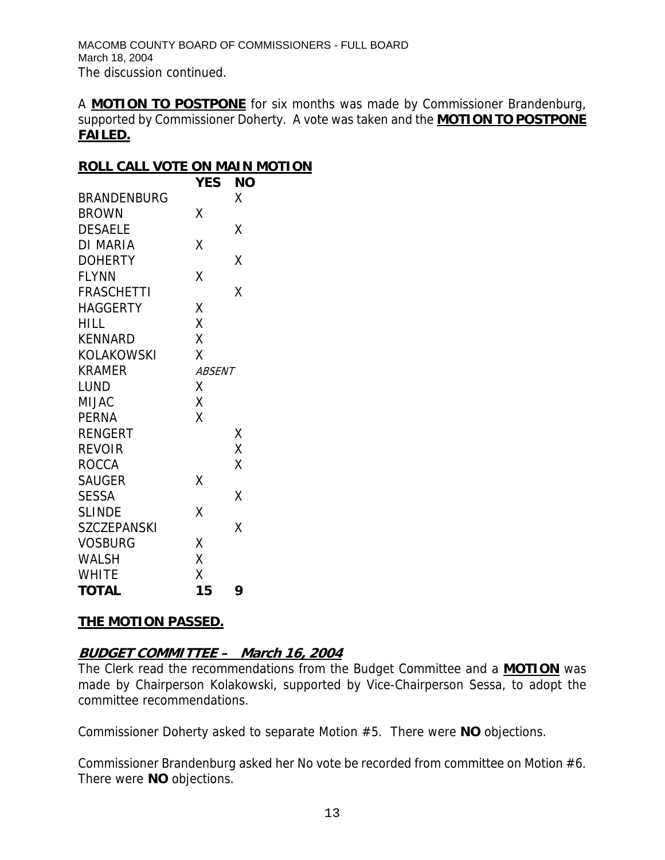A **MOTION TO POSTPONE** for six months was made by Commissioner Brandenburg, supported by Commissioner Doherty. A vote was taken and the **MOTION TO POSTPONE FAILED.**

## **ROLL CALL VOTE ON MAIN MOTION**

|                    | <b>YES</b>    | ΝO |
|--------------------|---------------|----|
| <b>BRANDENBURG</b> |               | χ  |
| <b>BROWN</b>       | Χ             |    |
| <b>DESAELE</b>     |               | χ  |
| <b>DI MARIA</b>    | Χ             |    |
| <b>DOHERTY</b>     |               | Χ  |
| <b>FLYNN</b>       | Χ             |    |
| <b>FRASCHETTI</b>  |               | χ  |
| <b>HAGGERTY</b>    | Χ             |    |
| <b>HILL</b>        | X             |    |
| <b>KENNARD</b>     | X             |    |
| KOLAKOWSKI         | X             |    |
| <b>KRAMER</b>      | <b>ABSENT</b> |    |
| LUND               | χ             |    |
| <b>MIJAC</b>       | X             |    |
| <b>PERNA</b>       | Χ             |    |
| <b>RENGERT</b>     |               | Χ  |
| <b>REVOIR</b>      |               | X  |
| <b>ROCCA</b>       |               | Χ  |
| <b>SAUGER</b>      | Χ             |    |
| SESSA              |               | χ  |
| <b>SLINDE</b>      | Χ             |    |
| <b>SZCZEPANSKI</b> |               | X  |
| <b>VOSBURG</b>     | Χ             |    |
| WALSH              | X             |    |
| <b>WHITE</b>       | X             |    |
| <b>TOTAL</b>       | 15            | 9  |

# **THE MOTION PASSED.**

# **BUDGET COMMITTEE – March 16, 2004**

The Clerk read the recommendations from the Budget Committee and a **MOTION** was made by Chairperson Kolakowski, supported by Vice-Chairperson Sessa, to adopt the committee recommendations.

Commissioner Doherty asked to separate Motion #5. There were **NO** objections.

Commissioner Brandenburg asked her No vote be recorded from committee on Motion #6. There were **NO** objections.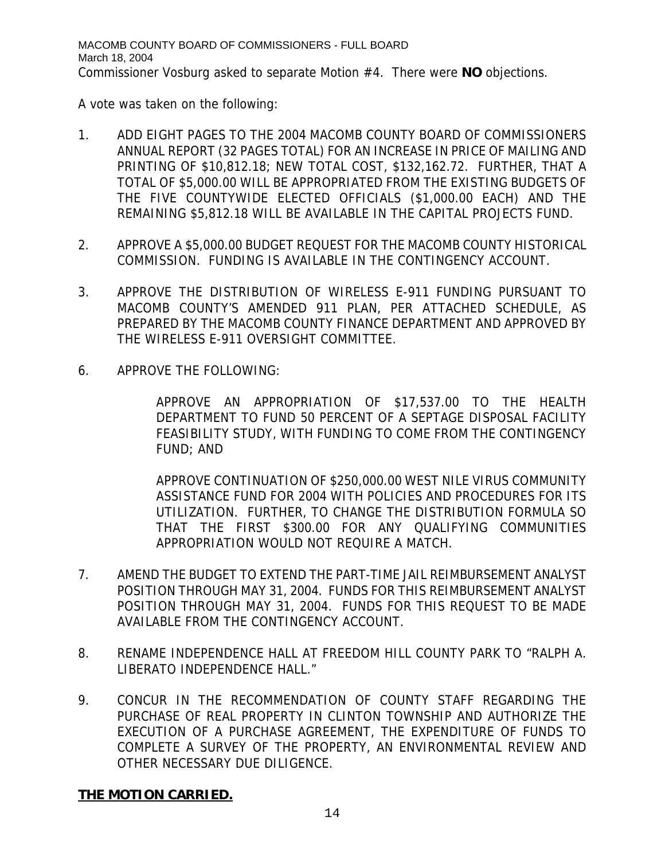A vote was taken on the following:

- 1. ADD EIGHT PAGES TO THE 2004 MACOMB COUNTY BOARD OF COMMISSIONERS ANNUAL REPORT (32 PAGES TOTAL) FOR AN INCREASE IN PRICE OF MAILING AND PRINTING OF \$10,812.18; NEW TOTAL COST, \$132,162.72. FURTHER, THAT A TOTAL OF \$5,000.00 WILL BE APPROPRIATED FROM THE EXISTING BUDGETS OF THE FIVE COUNTYWIDE ELECTED OFFICIALS (\$1,000.00 EACH) AND THE REMAINING \$5,812.18 WILL BE AVAILABLE IN THE CAPITAL PROJECTS FUND.
- 2. APPROVE A \$5,000.00 BUDGET REQUEST FOR THE MACOMB COUNTY HISTORICAL COMMISSION. FUNDING IS AVAILABLE IN THE CONTINGENCY ACCOUNT.
- 3. APPROVE THE DISTRIBUTION OF WIRELESS E-911 FUNDING PURSUANT TO MACOMB COUNTY'S AMENDED 911 PLAN, PER ATTACHED SCHEDULE, AS PREPARED BY THE MACOMB COUNTY FINANCE DEPARTMENT AND APPROVED BY THE WIRELESS E-911 OVERSIGHT COMMITTEE.
- 6. APPROVE THE FOLLOWING:

APPROVE AN APPROPRIATION OF \$17,537.00 TO THE HEALTH DEPARTMENT TO FUND 50 PERCENT OF A SEPTAGE DISPOSAL FACILITY FEASIBILITY STUDY, WITH FUNDING TO COME FROM THE CONTINGENCY FUND; AND

APPROVE CONTINUATION OF \$250,000.00 WEST NILE VIRUS COMMUNITY ASSISTANCE FUND FOR 2004 WITH POLICIES AND PROCEDURES FOR ITS UTILIZATION. FURTHER, TO CHANGE THE DISTRIBUTION FORMULA SO THAT THE FIRST \$300.00 FOR ANY QUALIFYING COMMUNITIES APPROPRIATION WOULD NOT REQUIRE A MATCH.

- 7. AMEND THE BUDGET TO EXTEND THE PART-TIME JAIL REIMBURSEMENT ANALYST POSITION THROUGH MAY 31, 2004. FUNDS FOR THIS REIMBURSEMENT ANALYST POSITION THROUGH MAY 31, 2004. FUNDS FOR THIS REQUEST TO BE MADE AVAILABLE FROM THE CONTINGENCY ACCOUNT.
- 8. RENAME INDEPENDENCE HALL AT FREEDOM HILL COUNTY PARK TO "RALPH A. LIBERATO INDEPENDENCE HALL."
- 9. CONCUR IN THE RECOMMENDATION OF COUNTY STAFF REGARDING THE PURCHASE OF REAL PROPERTY IN CLINTON TOWNSHIP AND AUTHORIZE THE EXECUTION OF A PURCHASE AGREEMENT, THE EXPENDITURE OF FUNDS TO COMPLETE A SURVEY OF THE PROPERTY, AN ENVIRONMENTAL REVIEW AND OTHER NECESSARY DUE DILIGENCE.

# **THE MOTION CARRIED.**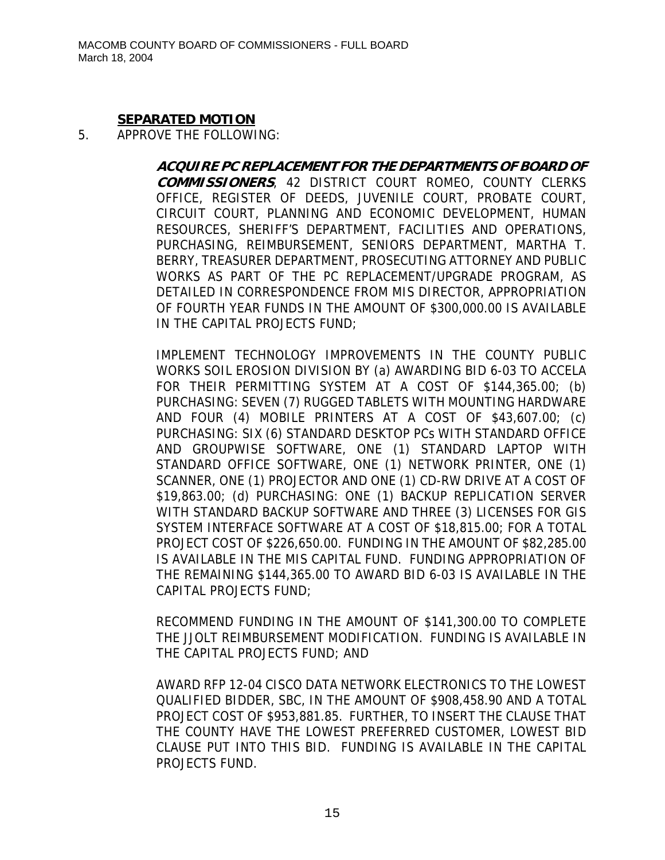#### **SEPARATED MOTION**

#### 5. APPROVE THE FOLLOWING:

**ACQUIRE PC REPLACEMENT FOR THE DEPARTMENTS OF BOARD OF COMMISSIONERS**, 42 DISTRICT COURT ROMEO, COUNTY CLERKS OFFICE, REGISTER OF DEEDS, JUVENILE COURT, PROBATE COURT, CIRCUIT COURT, PLANNING AND ECONOMIC DEVELOPMENT, HUMAN RESOURCES, SHERIFF'S DEPARTMENT, FACILITIES AND OPERATIONS, PURCHASING, REIMBURSEMENT, SENIORS DEPARTMENT, MARTHA T. BERRY, TREASURER DEPARTMENT, PROSECUTING ATTORNEY AND PUBLIC WORKS AS PART OF THE PC REPLACEMENT/UPGRADE PROGRAM, AS DETAILED IN CORRESPONDENCE FROM MIS DIRECTOR, APPROPRIATION OF FOURTH YEAR FUNDS IN THE AMOUNT OF \$300,000.00 IS AVAILABLE IN THE CAPITAL PROJECTS FUND;

IMPLEMENT TECHNOLOGY IMPROVEMENTS IN THE COUNTY PUBLIC WORKS SOIL EROSION DIVISION BY (a) AWARDING BID 6-03 TO ACCELA FOR THEIR PERMITTING SYSTEM AT A COST OF \$144,365.00; (b) PURCHASING: SEVEN (7) RUGGED TABLETS WITH MOUNTING HARDWARE AND FOUR (4) MOBILE PRINTERS AT A COST OF \$43,607.00; (c) PURCHASING: SIX (6) STANDARD DESKTOP PCs WITH STANDARD OFFICE AND GROUPWISE SOFTWARE, ONE (1) STANDARD LAPTOP WITH STANDARD OFFICE SOFTWARE, ONE (1) NETWORK PRINTER, ONE (1) SCANNER, ONE (1) PROJECTOR AND ONE (1) CD-RW DRIVE AT A COST OF \$19,863.00; (d) PURCHASING: ONE (1) BACKUP REPLICATION SERVER WITH STANDARD BACKUP SOFTWARE AND THREE (3) LICENSES FOR GIS SYSTEM INTERFACE SOFTWARE AT A COST OF \$18,815.00; FOR A TOTAL PROJECT COST OF \$226,650.00. FUNDING IN THE AMOUNT OF \$82,285.00 IS AVAILABLE IN THE MIS CAPITAL FUND. FUNDING APPROPRIATION OF THE REMAINING \$144,365.00 TO AWARD BID 6-03 IS AVAILABLE IN THE CAPITAL PROJECTS FUND;

RECOMMEND FUNDING IN THE AMOUNT OF \$141,300.00 TO COMPLETE THE JJOLT REIMBURSEMENT MODIFICATION. FUNDING IS AVAILABLE IN THE CAPITAL PROJECTS FUND; AND

AWARD RFP 12-04 CISCO DATA NETWORK ELECTRONICS TO THE LOWEST QUALIFIED BIDDER, SBC, IN THE AMOUNT OF \$908,458.90 AND A TOTAL PROJECT COST OF \$953,881.85. FURTHER, TO INSERT THE CLAUSE THAT THE COUNTY HAVE THE LOWEST PREFERRED CUSTOMER, LOWEST BID CLAUSE PUT INTO THIS BID. FUNDING IS AVAILABLE IN THE CAPITAL PROJECTS FUND.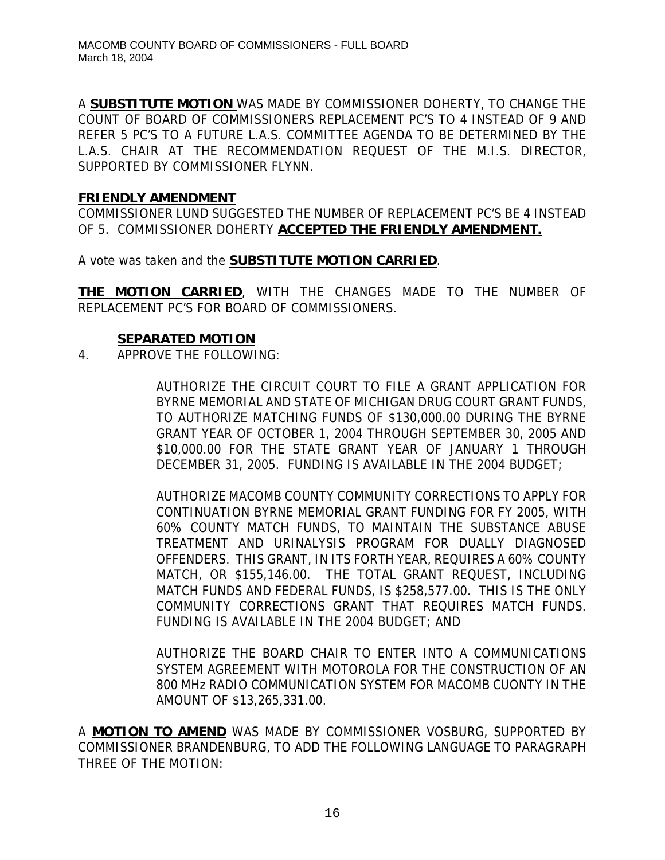A **SUBSTITUTE MOTION** WAS MADE BY COMMISSIONER DOHERTY, TO CHANGE THE COUNT OF BOARD OF COMMISSIONERS REPLACEMENT PC'S TO 4 INSTEAD OF 9 AND REFER 5 PC'S TO A FUTURE L.A.S. COMMITTEE AGENDA TO BE DETERMINED BY THE L.A.S. CHAIR AT THE RECOMMENDATION REQUEST OF THE M.I.S. DIRECTOR, SUPPORTED BY COMMISSIONER FLYNN.

#### **FRIENDLY AMENDMENT**

COMMISSIONER LUND SUGGESTED THE NUMBER OF REPLACEMENT PC'S BE 4 INSTEAD OF 5. COMMISSIONER DOHERTY **ACCEPTED THE FRIENDLY AMENDMENT.**

A vote was taken and the **SUBSTITUTE MOTION CARRIED**.

**THE MOTION CARRIED**, WITH THE CHANGES MADE TO THE NUMBER OF REPLACEMENT PC'S FOR BOARD OF COMMISSIONERS.

#### **SEPARATED MOTION**

4. APPROVE THE FOLLOWING:

AUTHORIZE THE CIRCUIT COURT TO FILE A GRANT APPLICATION FOR BYRNE MEMORIAL AND STATE OF MICHIGAN DRUG COURT GRANT FUNDS, TO AUTHORIZE MATCHING FUNDS OF \$130,000.00 DURING THE BYRNE GRANT YEAR OF OCTOBER 1, 2004 THROUGH SEPTEMBER 30, 2005 AND \$10,000.00 FOR THE STATE GRANT YEAR OF JANUARY 1 THROUGH DECEMBER 31, 2005. FUNDING IS AVAILABLE IN THE 2004 BUDGET;

AUTHORIZE MACOMB COUNTY COMMUNITY CORRECTIONS TO APPLY FOR CONTINUATION BYRNE MEMORIAL GRANT FUNDING FOR FY 2005, WITH 60% COUNTY MATCH FUNDS, TO MAINTAIN THE SUBSTANCE ABUSE TREATMENT AND URINALYSIS PROGRAM FOR DUALLY DIAGNOSED OFFENDERS. THIS GRANT, IN ITS FORTH YEAR, REQUIRES A 60% COUNTY MATCH, OR \$155,146.00. THE TOTAL GRANT REQUEST, INCLUDING MATCH FUNDS AND FEDERAL FUNDS, IS \$258,577.00. THIS IS THE ONLY COMMUNITY CORRECTIONS GRANT THAT REQUIRES MATCH FUNDS. FUNDING IS AVAILABLE IN THE 2004 BUDGET; AND

AUTHORIZE THE BOARD CHAIR TO ENTER INTO A COMMUNICATIONS SYSTEM AGREEMENT WITH MOTOROLA FOR THE CONSTRUCTION OF AN 800 MHz RADIO COMMUNICATION SYSTEM FOR MACOMB CUONTY IN THE AMOUNT OF \$13,265,331.00.

A **MOTION TO AMEND** WAS MADE BY COMMISSIONER VOSBURG, SUPPORTED BY COMMISSIONER BRANDENBURG, TO ADD THE FOLLOWING LANGUAGE TO PARAGRAPH THREE OF THE MOTION: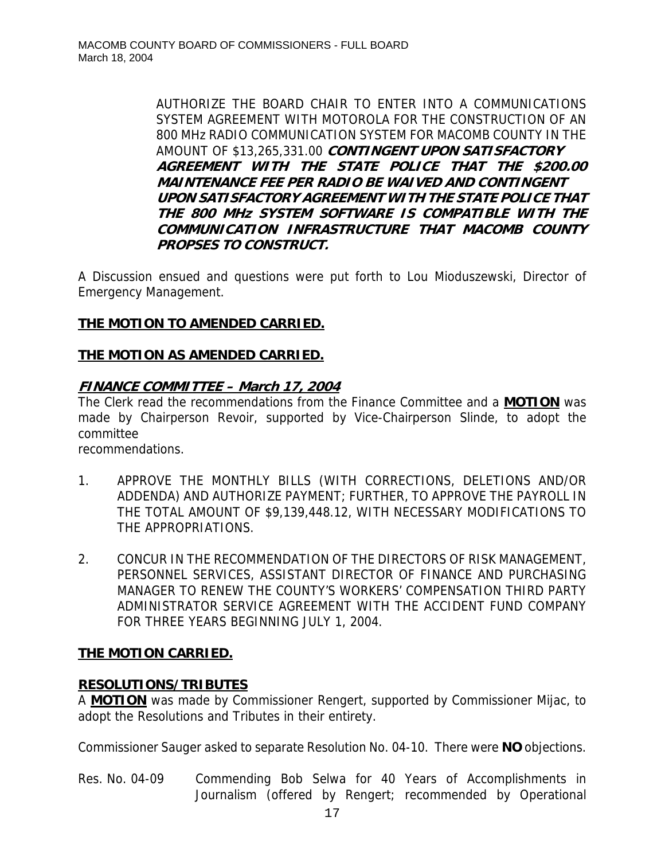AUTHORIZE THE BOARD CHAIR TO ENTER INTO A COMMUNICATIONS SYSTEM AGREEMENT WITH MOTOROLA FOR THE CONSTRUCTION OF AN 800 MHz RADIO COMMUNICATION SYSTEM FOR MACOMB COUNTY IN THE AMOUNT OF \$13,265,331.00 **CONTINGENT UPON SATISFACTORY AGREEMENT WITH THE STATE POLICE THAT THE \$200.00 MAINTENANCE FEE PER RADIO BE WAIVED AND CONTINGENT UPON SATISFACTORY AGREEMENT WITH THE STATE POLICE THAT THE 800 MHz SYSTEM SOFTWARE IS COMPATIBLE WITH THE COMMUNICATION INFRASTRUCTURE THAT MACOMB COUNTY PROPSES TO CONSTRUCT.** 

A Discussion ensued and questions were put forth to Lou Mioduszewski, Director of Emergency Management.

# **THE MOTION TO AMENDED CARRIED.**

# **THE MOTION AS AMENDED CARRIED.**

# **FINANCE COMMITTEE – March 17, 2004**

The Clerk read the recommendations from the Finance Committee and a **MOTION** was made by Chairperson Revoir, supported by Vice-Chairperson Slinde, to adopt the committee

recommendations.

- 1. APPROVE THE MONTHLY BILLS (WITH CORRECTIONS, DELETIONS AND/OR ADDENDA) AND AUTHORIZE PAYMENT; FURTHER, TO APPROVE THE PAYROLL IN THE TOTAL AMOUNT OF \$9,139,448.12, WITH NECESSARY MODIFICATIONS TO THE APPROPRIATIONS.
- 2. CONCUR IN THE RECOMMENDATION OF THE DIRECTORS OF RISK MANAGEMENT, PERSONNEL SERVICES, ASSISTANT DIRECTOR OF FINANCE AND PURCHASING MANAGER TO RENEW THE COUNTY'S WORKERS' COMPENSATION THIRD PARTY ADMINISTRATOR SERVICE AGREEMENT WITH THE ACCIDENT FUND COMPANY FOR THREE YEARS BEGINNING JULY 1, 2004.

# **THE MOTION CARRIED.**

# **RESOLUTIONS/TRIBUTES**

A **MOTION** was made by Commissioner Rengert, supported by Commissioner Mijac, to adopt the Resolutions and Tributes in their entirety.

Commissioner Sauger asked to separate Resolution No. 04-10. There were **NO** objections.

Res. No. 04-09 Commending Bob Selwa for 40 Years of Accomplishments in Journalism (offered by Rengert; recommended by Operational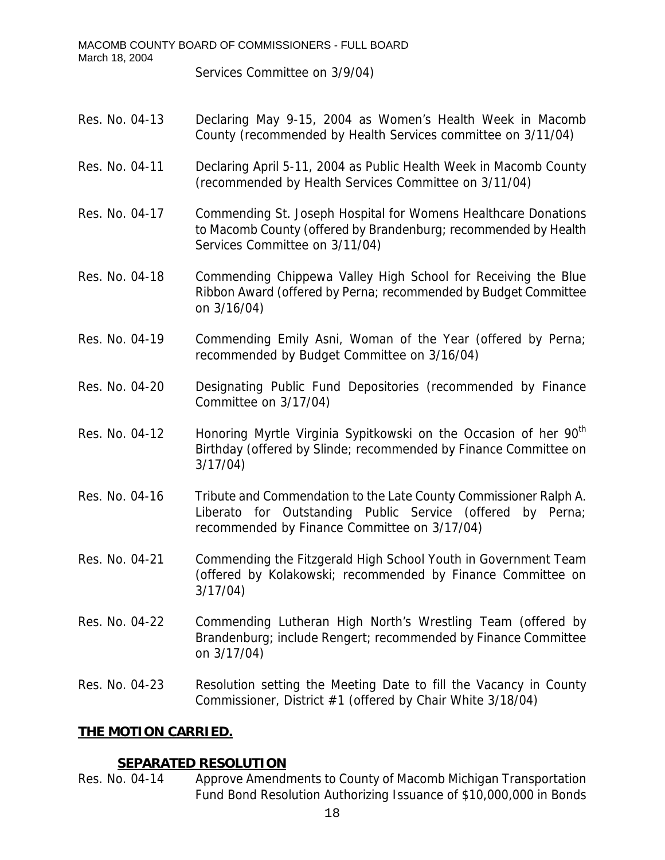| MACOMB COUNTY BOARD OF COMMISSIONERS - FULL BOARD<br>March 18, 2004 |                                                                                                                                                                                 |  |
|---------------------------------------------------------------------|---------------------------------------------------------------------------------------------------------------------------------------------------------------------------------|--|
|                                                                     | Services Committee on 3/9/04)                                                                                                                                                   |  |
|                                                                     |                                                                                                                                                                                 |  |
| Res. No. 04-13                                                      | Declaring May 9-15, 2004 as Women's Health Week in Macomb<br>County (recommended by Health Services committee on 3/11/04)                                                       |  |
| Res. No. 04-11                                                      | Declaring April 5-11, 2004 as Public Health Week in Macomb County<br>(recommended by Health Services Committee on 3/11/04)                                                      |  |
| Res. No. 04-17                                                      | Commending St. Joseph Hospital for Womens Healthcare Donations<br>to Macomb County (offered by Brandenburg; recommended by Health<br>Services Committee on 3/11/04)             |  |
| Res. No. 04-18                                                      | Commending Chippewa Valley High School for Receiving the Blue<br>Ribbon Award (offered by Perna; recommended by Budget Committee<br>on 3/16/04)                                 |  |
| Res. No. 04-19                                                      | Commending Emily Asni, Woman of the Year (offered by Perna;<br>recommended by Budget Committee on 3/16/04)                                                                      |  |
| Res. No. 04-20                                                      | Designating Public Fund Depositories (recommended by Finance<br>Committee on 3/17/04)                                                                                           |  |
| Res. No. 04-12                                                      | Honoring Myrtle Virginia Sypitkowski on the Occasion of her 90 <sup>th</sup><br>Birthday (offered by Slinde; recommended by Finance Committee on<br>3/17/04)                    |  |
| Res. No. 04-16                                                      | Tribute and Commendation to the Late County Commissioner Ralph A.<br>Liberato for Outstanding Public Service (offered by Perna;<br>recommended by Finance Committee on 3/17/04) |  |
| Res. No. 04-21                                                      | Commending the Fitzgerald High School Youth in Government Team<br>(offered by Kolakowski; recommended by Finance Committee on<br>3/17/04                                        |  |
| Res. No. 04-22                                                      | Commending Lutheran High North's Wrestling Team (offered by<br>Brandenburg; include Rengert; recommended by Finance Committee<br>on 3/17/04)                                    |  |
| Res. No. 04-23                                                      | Resolution setting the Meeting Date to fill the Vacancy in County<br>Commissioner, District #1 (offered by Chair White 3/18/04)                                                 |  |
| <u>THE MOTION CARRIED.</u>                                          |                                                                                                                                                                                 |  |
|                                                                     |                                                                                                                                                                                 |  |

# **SEPARATED RESOLUTION**<br>Res. No. 04-14 Approve Amendr

Res. No. 04-14 Approve Amendments to County of Macomb Michigan Transportation Fund Bond Resolution Authorizing Issuance of \$10,000,000 in Bonds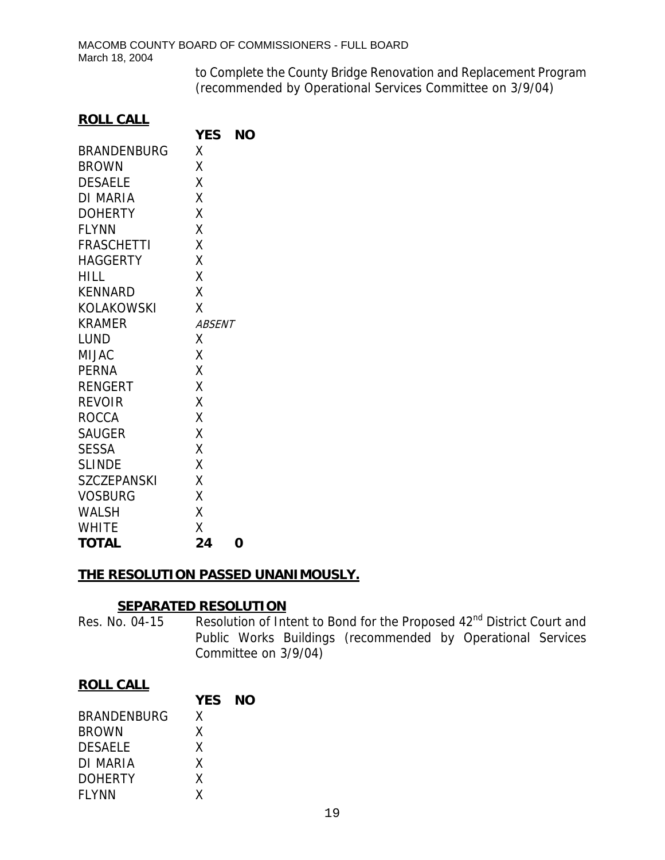to Complete the County Bridge Renovation and Replacement Program (recommended by Operational Services Committee on 3/9/04)

#### **ROLL CALL**

|                    | <b>YES</b>    | ΝO |
|--------------------|---------------|----|
| <b>BRANDENBURG</b> | Χ             |    |
| <b>BROWN</b>       | Χ             |    |
| <b>DESAELE</b>     | Χ             |    |
| <b>DI MARIA</b>    | Χ             |    |
| <b>DOHERTY</b>     | Χ             |    |
| <b>FLYNN</b>       | X             |    |
| <b>FRASCHETTI</b>  | Χ             |    |
| <b>HAGGERTY</b>    | χ             |    |
| HILL               | X             |    |
| <b>KENNARD</b>     | X             |    |
| <b>KOLAKOWSKI</b>  | X             |    |
| KRAMER             | <b>ABSENT</b> |    |
| LUND               | X             |    |
| <b>MIJAC</b>       | Χ             |    |
| <b>PERNA</b>       | X             |    |
| <b>RENGERT</b>     | Χ             |    |
| <b>REVOIR</b>      | X             |    |
| <b>ROCCA</b>       | Χ             |    |
| <b>SAUGER</b>      | X             |    |
| <b>SESSA</b>       | X             |    |
| <b>SLINDE</b>      | χ             |    |
| <b>SZCZEPANSKI</b> | Χ             |    |
| <b>VOSBURG</b>     | χ             |    |
| <b>WALSH</b>       | Χ             |    |
| <b>WHITE</b>       | χ             |    |
| <b>TOTAL</b>       | 24            | 0  |

## **THE RESOLUTION PASSED UNANIMOUSLY.**

## **SEPARATED RESOLUTION**

Res. No. 04-15 Resolution of Intent to Bond for the Proposed 42<sup>nd</sup> District Court and Public Works Buildings (recommended by Operational Services Committee on 3/9/04)

# **ROLL CALL**

|                    | <b>YES NO</b> |  |
|--------------------|---------------|--|
| <b>BRANDENBURG</b> | x             |  |
| <b>BROWN</b>       | χ             |  |
| <b>DESAELE</b>     | x             |  |
| DI MARIA           | Χ             |  |
| <b>DOHERTY</b>     | x             |  |
| <b>FLYNN</b>       | χ             |  |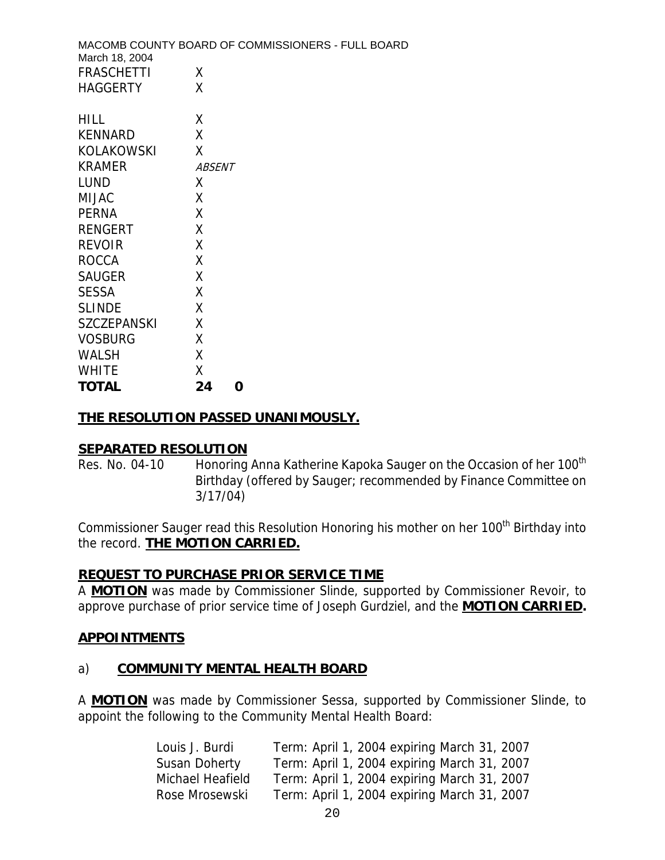| March 18, 2004     | MACOMB COUNTY BOARD OF COMMISSIONERS - FULL BOARD |
|--------------------|---------------------------------------------------|
| <b>FRASCHETTI</b>  | X                                                 |
| <b>HAGGERTY</b>    | Χ                                                 |
|                    |                                                   |
| <b>HILL</b>        | X                                                 |
| <b>KENNARD</b>     | X                                                 |
| <b>KOLAKOWSKI</b>  | X                                                 |
| <b>KRAMER</b>      | ABSENT                                            |
| <b>LUND</b>        | X                                                 |
| <b>MIJAC</b>       | X                                                 |
| <b>PERNA</b>       | X                                                 |
| <b>RENGERT</b>     | X                                                 |
| <b>REVOIR</b>      | X                                                 |
| <b>ROCCA</b>       | X                                                 |
| <b>SAUGER</b>      | X                                                 |
| <b>SESSA</b>       | X                                                 |
| <b>SLINDE</b>      | X                                                 |
| <b>SZCZEPANSKI</b> | X                                                 |
| <b>VOSBURG</b>     | X                                                 |
| <b>WALSH</b>       | X                                                 |
| <b>WHITE</b>       | X                                                 |
| <b>TOTAL</b>       | 24<br>O                                           |

#### **THE RESOLUTION PASSED UNANIMOUSLY.**

#### **SEPARATED RESOLUTION**

Res. No. 04-10 Honoring Anna Katherine Kapoka Sauger on the Occasion of her 100<sup>th</sup> Birthday (offered by Sauger; recommended by Finance Committee on 3/17/04)

Commissioner Sauger read this Resolution Honoring his mother on her 100<sup>th</sup> Birthday into the record. **THE MOTION CARRIED.**

#### **REQUEST TO PURCHASE PRIOR SERVICE TIME**

A **MOTION** was made by Commissioner Slinde, supported by Commissioner Revoir, to approve purchase of prior service time of Joseph Gurdziel, and the **MOTION CARRIED.** 

#### **APPOINTMENTS**

#### a) **COMMUNITY MENTAL HEALTH BOARD**

A **MOTION** was made by Commissioner Sessa, supported by Commissioner Slinde, to appoint the following to the Community Mental Health Board:

| Louis J. Burdi   | Term: April 1, 2004 expiring March 31, 2007 |
|------------------|---------------------------------------------|
| Susan Doherty    | Term: April 1, 2004 expiring March 31, 2007 |
| Michael Heafield | Term: April 1, 2004 expiring March 31, 2007 |
| Rose Mrosewski   | Term: April 1, 2004 expiring March 31, 2007 |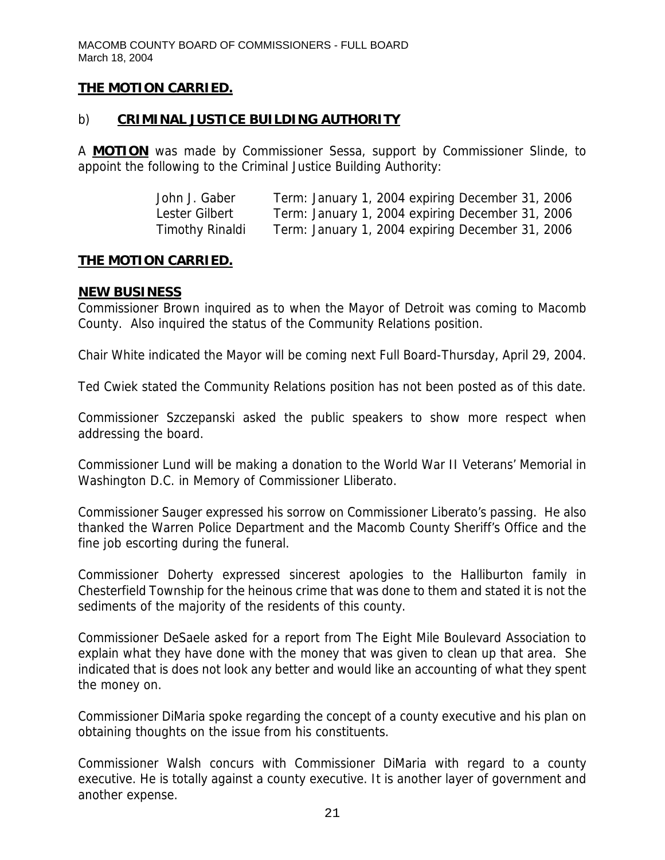## **THE MOTION CARRIED.**

## b) **CRIMINAL JUSTICE BUILDING AUTHORITY**

A **MOTION** was made by Commissioner Sessa, support by Commissioner Slinde, to appoint the following to the Criminal Justice Building Authority:

| John J. Gaber          | Term: January 1, 2004 expiring December 31, 2006 |
|------------------------|--------------------------------------------------|
| Lester Gilbert         | Term: January 1, 2004 expiring December 31, 2006 |
| <b>Timothy Rinaldi</b> | Term: January 1, 2004 expiring December 31, 2006 |

#### **THE MOTION CARRIED.**

#### **NEW BUSINESS**

Commissioner Brown inquired as to when the Mayor of Detroit was coming to Macomb County. Also inquired the status of the Community Relations position.

Chair White indicated the Mayor will be coming next Full Board-Thursday, April 29, 2004.

Ted Cwiek stated the Community Relations position has not been posted as of this date.

Commissioner Szczepanski asked the public speakers to show more respect when addressing the board.

Commissioner Lund will be making a donation to the World War II Veterans' Memorial in Washington D.C. in Memory of Commissioner Lliberato.

Commissioner Sauger expressed his sorrow on Commissioner Liberato's passing. He also thanked the Warren Police Department and the Macomb County Sheriff's Office and the fine job escorting during the funeral.

Commissioner Doherty expressed sincerest apologies to the Halliburton family in Chesterfield Township for the heinous crime that was done to them and stated it is not the sediments of the majority of the residents of this county.

Commissioner DeSaele asked for a report from The Eight Mile Boulevard Association to explain what they have done with the money that was given to clean up that area. She indicated that is does not look any better and would like an accounting of what they spent the money on.

Commissioner DiMaria spoke regarding the concept of a county executive and his plan on obtaining thoughts on the issue from his constituents.

Commissioner Walsh concurs with Commissioner DiMaria with regard to a county executive. He is totally against a county executive. It is another layer of government and another expense.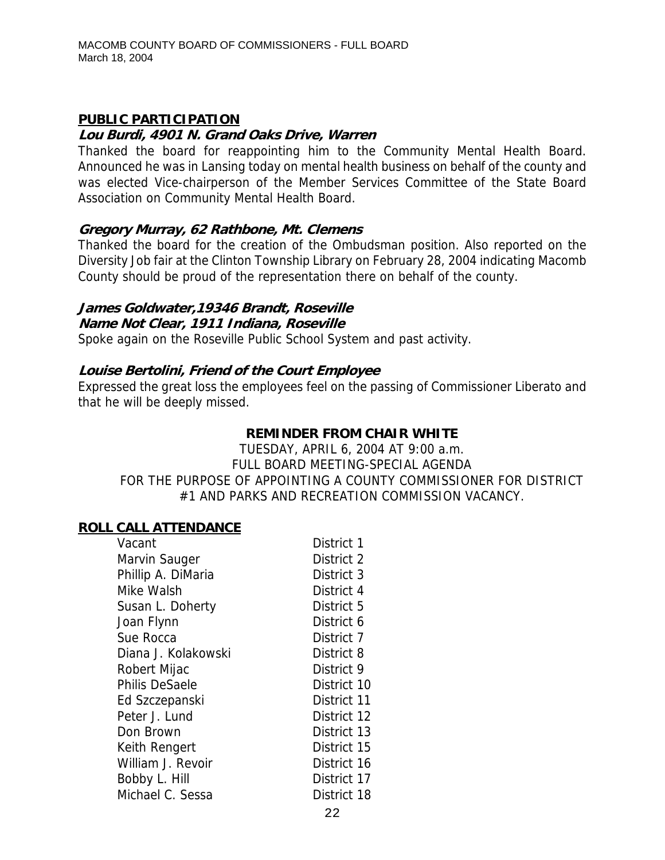# **PUBLIC PARTICIPATION**

#### **Lou Burdi, 4901 N. Grand Oaks Drive, Warren**

Thanked the board for reappointing him to the Community Mental Health Board. Announced he was in Lansing today on mental health business on behalf of the county and was elected Vice-chairperson of the Member Services Committee of the State Board Association on Community Mental Health Board.

#### **Gregory Murray, 62 Rathbone, Mt. Clemens**

Thanked the board for the creation of the Ombudsman position. Also reported on the Diversity Job fair at the Clinton Township Library on February 28, 2004 indicating Macomb County should be proud of the representation there on behalf of the county.

#### **James Goldwater,19346 Brandt, Roseville**

#### **Name Not Clear, 1911 Indiana, Roseville**

Spoke again on the Roseville Public School System and past activity.

#### **Louise Bertolini, Friend of the Court Employee**

Expressed the great loss the employees feel on the passing of Commissioner Liberato and that he will be deeply missed.

#### **REMINDER FROM CHAIR WHITE**

TUESDAY, APRIL 6, 2004 AT 9:00 a.m. FULL BOARD MEETING-SPECIAL AGENDA FOR THE PURPOSE OF APPOINTING A COUNTY COMMISSIONER FOR DISTRICT #1 AND PARKS AND RECREATION COMMISSION VACANCY.

#### **ROLL CALL ATTENDANCE**

| Vacant                | District 1  |
|-----------------------|-------------|
| Marvin Sauger         | District 2  |
| Phillip A. DiMaria    | District 3  |
| Mike Walsh            | District 4  |
| Susan L. Doherty      | District 5  |
| Joan Flynn            | District 6  |
| Sue Rocca             | District 7  |
| Diana J. Kolakowski   | District 8  |
| Robert Mijac          | District 9  |
| <b>Philis DeSaele</b> | District 10 |
| Ed Szczepanski        | District 11 |
| Peter J. Lund         | District 12 |
| Don Brown             | District 13 |
| Keith Rengert         | District 15 |
| William J. Revoir     | District 16 |
| Bobby L. Hill         | District 17 |
| Michael C. Sessa      | District 18 |